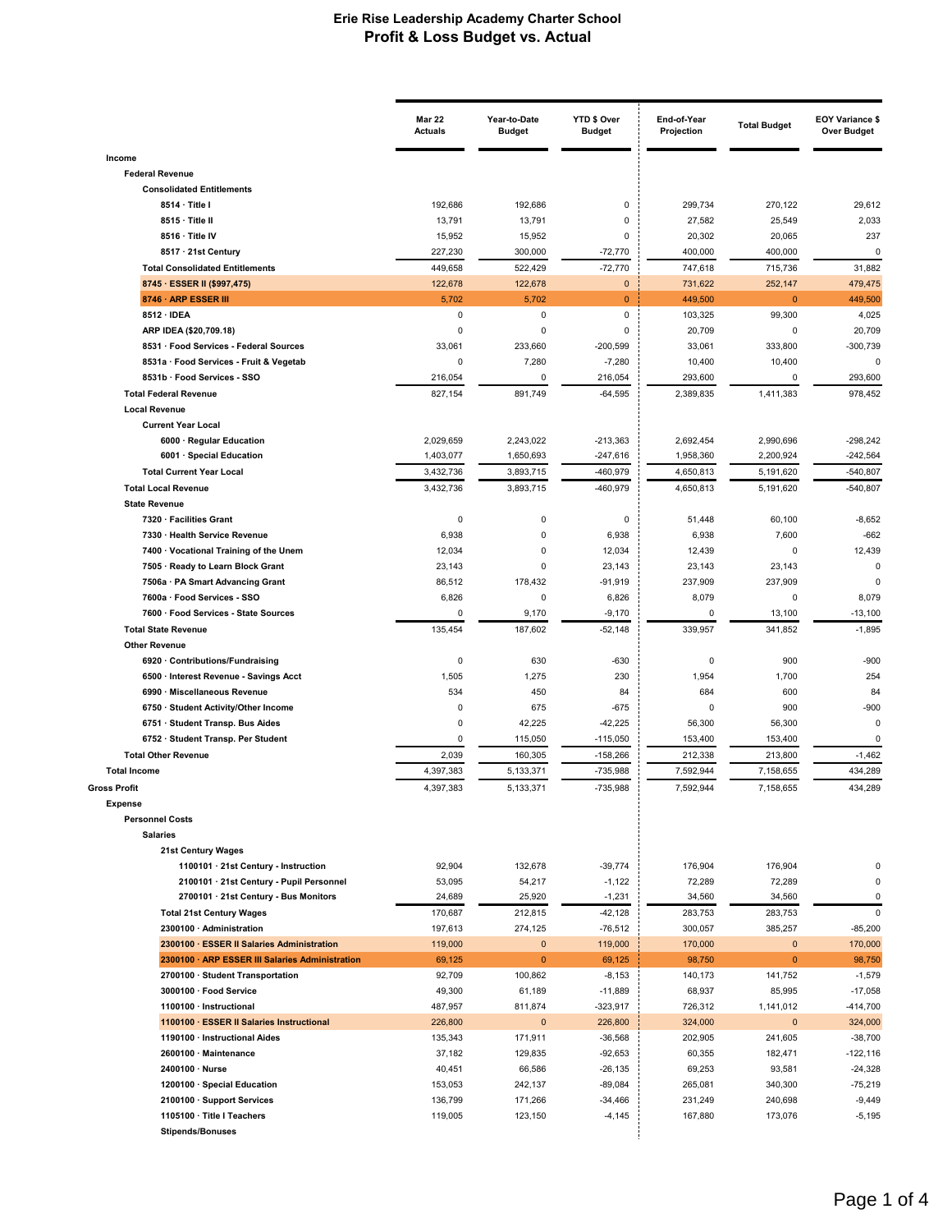|                                                                         | <b>Mar 22</b><br><b>Actuals</b> | Year-to-Date<br><b>Budget</b> | YTD \$ Over<br><b>Budget</b> | End-of-Year<br>Projection | <b>Total Budget</b>     | <b>EOY Variance \$</b><br><b>Over Budget</b> |
|-------------------------------------------------------------------------|---------------------------------|-------------------------------|------------------------------|---------------------------|-------------------------|----------------------------------------------|
| Income                                                                  |                                 |                               |                              |                           |                         |                                              |
| <b>Federal Revenue</b>                                                  |                                 |                               |                              |                           |                         |                                              |
| <b>Consolidated Entitlements</b>                                        |                                 |                               |                              |                           |                         |                                              |
| 8514 · Title I                                                          | 192,686                         | 192,686                       | 0                            | 299,734                   | 270,122                 | 29,612                                       |
| 8515 · Title II                                                         | 13,791                          | 13,791                        | 0                            | 27,582                    | 25,549                  | 2,033                                        |
| 8516 · Title IV                                                         | 15,952                          | 15,952                        | $\Omega$                     | 20,302                    | 20,065                  | 237                                          |
| 8517 · 21st Century                                                     | 227,230                         | 300,000                       | $-72,770$                    | 400,000                   | 400,000                 | $\Omega$                                     |
| <b>Total Consolidated Entitlements</b>                                  | 449,658                         | 522,429                       | $-72,770$                    | 747,618                   | 715,736                 | 31,882<br>479.475                            |
| 8745 · ESSER II (\$997,475)<br>8746 · ARP ESSER III                     | 122,678<br>5,702                | 122,678<br>5,702              | $\mathbf 0$<br>$\pmb{0}$     | 731,622<br>449,500        | 252,147<br>$\mathbf{0}$ | 449,500                                      |
| 8512 · IDEA                                                             | $\mathbf 0$                     | $\mathbf 0$                   | 0                            | 103,325                   | 99,300                  | 4,025                                        |
| ARP IDEA (\$20,709.18)                                                  | $\mathbf 0$                     | $\mathbf 0$                   | 0                            | 20,709                    | 0                       | 20,709                                       |
| 8531 · Food Services - Federal Sources                                  | 33,061                          | 233,660                       | $-200,599$                   | 33,061                    | 333,800                 | -300,739                                     |
| 8531a · Food Services - Fruit & Vegetab                                 | 0                               | 7,280                         | $-7,280$                     | 10,400                    | 10,400                  | $\mathbf 0$                                  |
| 8531b · Food Services - SSO                                             | 216,054                         | $\Omega$                      | 216,054                      | 293,600                   | 0                       | 293,600                                      |
| <b>Total Federal Revenue</b>                                            | 827,154                         | 891,749                       | $-64,595$                    | 2,389,835                 | 1,411,383               | 978,452                                      |
| <b>Local Revenue</b>                                                    |                                 |                               |                              |                           |                         |                                              |
| <b>Current Year Local</b>                                               |                                 |                               |                              |                           |                         |                                              |
| 6000 · Regular Education                                                | 2,029,659                       | 2,243,022                     | $-213,363$                   | 2,692,454                 | 2,990,696               | $-298,242$                                   |
| 6001 · Special Education                                                | 1,403,077                       | 1,650,693                     | $-247,616$                   | 1,958,360                 | 2,200,924               | $-242,564$                                   |
| <b>Total Current Year Local</b>                                         | 3,432,736                       | 3,893,715                     | -460,979                     | 4,650,813                 | 5,191,620               | $-540,807$                                   |
| <b>Total Local Revenue</b>                                              | 3,432,736                       | 3,893,715                     | -460,979                     | 4,650,813                 | 5,191,620               | $-540,807$                                   |
| <b>State Revenue</b>                                                    |                                 |                               |                              |                           |                         |                                              |
| 7320 · Facilities Grant                                                 | 0<br>6,938                      | 0<br>$\mathbf 0$              | 0<br>6,938                   | 51,448<br>6,938           | 60,100<br>7,600         | $-8,652$<br>$-662$                           |
| 7330 · Health Service Revenue<br>7400 · Vocational Training of the Unem | 12,034                          | $\mathbf 0$                   | 12,034                       | 12,439                    | $\mathbf 0$             | 12,439                                       |
| 7505 · Ready to Learn Block Grant                                       | 23,143                          | 0                             | 23,143                       | 23,143                    | 23,143                  | $\Omega$                                     |
| 7506a · PA Smart Advancing Grant                                        | 86,512                          | 178,432                       | $-91,919$                    | 237,909                   | 237,909                 | $\Omega$                                     |
| 7600a · Food Services - SSO                                             | 6,826                           | 0                             | 6,826                        | 8,079                     | 0                       | 8,079                                        |
| 7600 · Food Services - State Sources                                    | $\Omega$                        | 9,170                         | $-9,170$                     | $\Omega$                  | 13,100                  | $-13,100$                                    |
| <b>Total State Revenue</b>                                              | 135,454                         | 187,602                       | $-52,148$                    | 339,957                   | 341,852                 | $-1,895$                                     |
| <b>Other Revenue</b>                                                    |                                 |                               |                              |                           |                         |                                              |
| 6920 · Contributions/Fundraising                                        | 0                               | 630                           | $-630$                       | 0                         | 900                     | $-900$                                       |
| 6500 · Interest Revenue - Savings Acct                                  | 1,505                           | 1,275                         | 230                          | 1,954                     | 1,700                   | 254                                          |
| 6990 · Miscellaneous Revenue                                            | 534                             | 450                           | 84                           | 684                       | 600                     | 84                                           |
| 6750 · Student Activity/Other Income                                    | 0                               | 675                           | $-675$                       | 0                         | 900                     | $-900$                                       |
| 6751 · Student Transp. Bus Aides<br>6752 · Student Transp. Per Student  | 0<br>0                          | 42,225<br>115,050             | $-42,225$<br>$-115,050$      | 56,300                    | 56,300<br>153,400       | 0<br>$\mathbf 0$                             |
| <b>Total Other Revenue</b>                                              | 2,039                           | 160,305                       | $-158,266$                   | 153,400<br>212,338        | 213,800                 | $-1,462$                                     |
| <b>Total Income</b>                                                     | 4,397,383                       | 5,133,371                     | -735,988                     | 7,592,944                 | 7,158,655               | 434,289                                      |
| Gross Profit                                                            | 4,397,383                       | 5,133,371                     | $-735,988$                   | 7,592,944                 | 7,158,655               | 434,289                                      |
| <b>Expense</b>                                                          |                                 |                               |                              |                           |                         |                                              |
| <b>Personnel Costs</b>                                                  |                                 |                               |                              |                           |                         |                                              |
| <b>Salaries</b>                                                         |                                 |                               |                              |                           |                         |                                              |
| 21st Century Wages                                                      |                                 |                               |                              |                           |                         |                                              |
| 1100101 · 21st Century - Instruction                                    | 92,904                          | 132,678                       | $-39,774$                    | 176,904                   | 176,904                 | 0                                            |
| 2100101 · 21st Century - Pupil Personnel                                | 53,095                          | 54,217                        | $-1,122$                     | 72,289                    | 72,289                  | 0                                            |
| 2700101 · 21st Century - Bus Monitors                                   | 24,689                          | 25,920                        | $-1,231$                     | 34,560                    | 34,560                  | $\pmb{0}$                                    |
| <b>Total 21st Century Wages</b>                                         | 170,687                         | 212,815                       | $-42,128$                    | 283,753                   | 283,753                 | $\mathbf 0$                                  |
| 2300100 · Administration                                                | 197,613                         | 274,125                       | $-76,512$                    | 300,057                   | 385,257                 | $-85,200$                                    |
| 2300100 · ESSER II Salaries Administration                              | 119,000                         | $\mathbf{0}$                  | 119,000                      | 170,000                   | $\mathbf{0}$            | 170,000                                      |
| 2300100 · ARP ESSER III Salaries Administration                         | 69,125                          | $\mathbf{0}$                  | 69,125                       | 98,750                    | $\overline{0}$          | 98,750                                       |
| 2700100 · Student Transportation<br>3000100 · Food Service              | 92,709                          | 100,862                       | $-8,153$                     | 140,173                   | 141,752                 | $-1,579$                                     |
| 1100100 · Instructional                                                 | 49,300<br>487,957               | 61,189<br>811,874             | $-11,889$<br>$-323,917$      | 68,937<br>726,312         | 85,995<br>1,141,012     | $-17,058$<br>-414,700                        |
| 1100100 · ESSER II Salaries Instructional                               | 226,800                         | $\pmb{0}$                     | 226,800                      | 324,000                   | $\mathbf{0}$            | 324,000                                      |
| 1190100 · Instructional Aides                                           | 135,343                         | 171,911                       | $-36,568$                    | 202,905                   | 241,605                 | $-38,700$                                    |
| 2600100 · Maintenance                                                   | 37,182                          | 129,835                       | $-92,653$                    | 60,355                    | 182,471                 | -122,116                                     |
| 2400100 · Nurse                                                         | 40,451                          | 66,586                        | $-26, 135$                   | 69,253                    | 93,581                  | $-24,328$                                    |
| 1200100 · Special Education                                             | 153,053                         | 242,137                       | $-89,084$                    | 265,081                   | 340,300                 | $-75,219$                                    |
| 2100100 · Support Services                                              | 136,799                         | 171,266                       | -34,466                      | 231,249                   | 240,698                 | $-9,449$                                     |
| 1105100 · Title I Teachers                                              | 119,005                         | 123,150                       | $-4,145$                     | 167,880                   | 173,076                 | $-5,195$                                     |
| <b>Stipends/Bonuses</b>                                                 |                                 |                               |                              |                           |                         |                                              |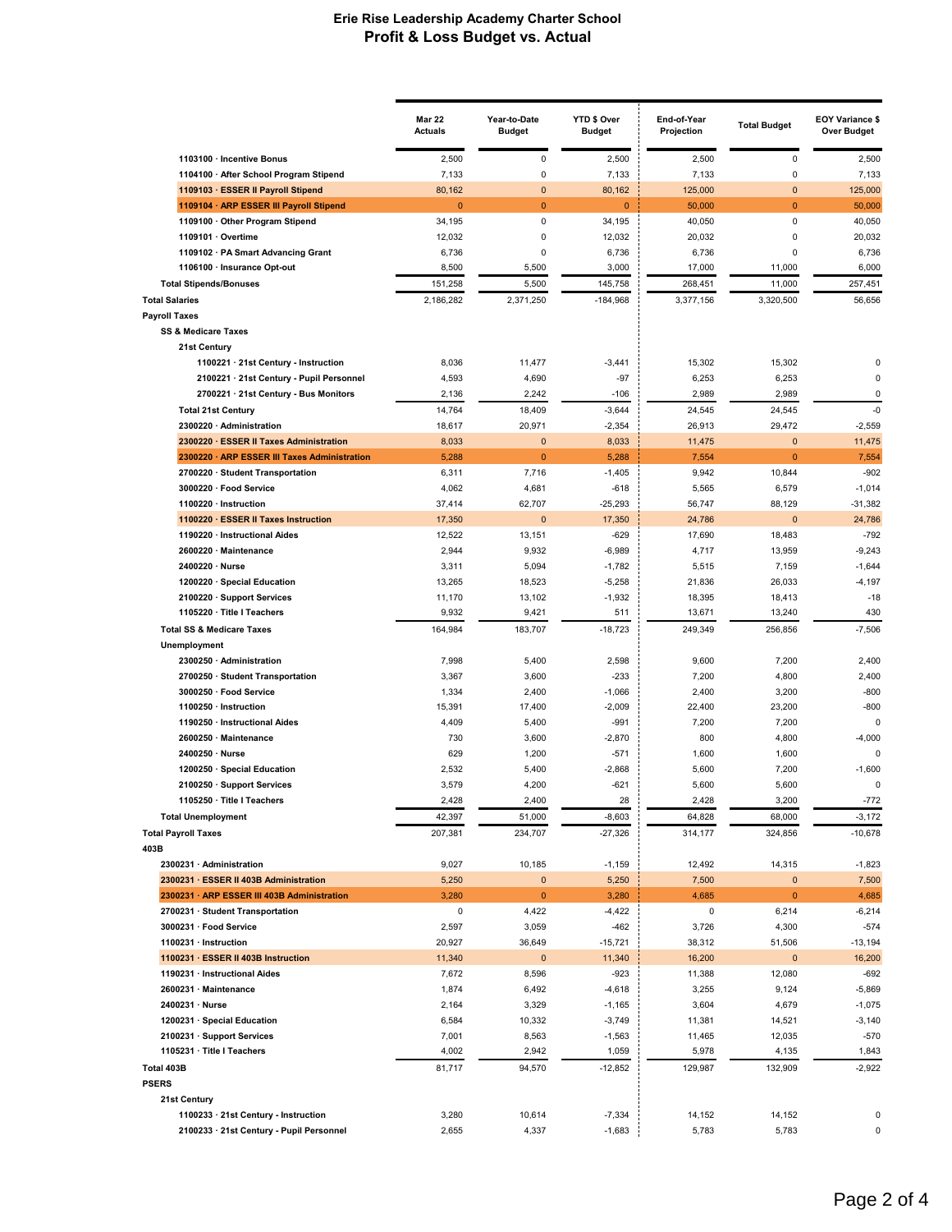|                                                       | <b>Mar 22</b><br><b>Actuals</b> | Year-to-Date<br><b>Budget</b> | YTD \$ Over<br>Budget | End-of-Year<br>Projection | <b>Total Budget</b>    | <b>EOY Variance \$</b><br><b>Over Budget</b> |
|-------------------------------------------------------|---------------------------------|-------------------------------|-----------------------|---------------------------|------------------------|----------------------------------------------|
| 1103100 · Incentive Bonus                             | 2,500                           | $\pmb{0}$                     | 2,500                 | 2,500                     | $\pmb{0}$              | 2,500                                        |
| 1104100 · After School Program Stipend                | 7,133                           | $\pmb{0}$                     | 7,133                 | 7,133                     | 0                      | 7,133                                        |
| 1109103 · ESSER II Payroll Stipend                    | 80,162                          | $\mathbf{0}$                  | 80,162                | 125,000                   | $\mathbf{0}$           | 125,000                                      |
| 1109104 · ARP ESSER III Payroll Stipend               | $\overline{0}$                  | $\mathbf{0}$                  | $\mathbf{0}$          | 50,000                    | $\overline{0}$         | 50,000                                       |
| 1109100 · Other Program Stipend                       | 34,195                          | $\pmb{0}$                     | 34,195                | 40,050                    | $\pmb{0}$              | 40,050                                       |
| 1109101 · Overtime                                    | 12,032                          | 0                             | 12,032                | 20,032                    | 0                      | 20,032                                       |
| 1109102 · PA Smart Advancing Grant                    | 6,736                           | 0                             | 6,736                 | 6,736                     | 0                      | 6,736                                        |
| 1106100 · Insurance Opt-out                           | 8,500                           | 5,500                         | 3,000                 | 17,000                    | 11,000                 | 6,000                                        |
| <b>Total Stipends/Bonuses</b>                         | 151,258                         | 5,500                         | 145,758               | 268,451                   | 11,000                 | 257,451                                      |
| <b>Total Salaries</b>                                 | 2,186,282                       | 2,371,250                     | $-184,968$            | 3,377,156                 | 3,320,500              | 56.656                                       |
| <b>Payroll Taxes</b>                                  |                                 |                               |                       |                           |                        |                                              |
| <b>SS &amp; Medicare Taxes</b>                        |                                 |                               |                       |                           |                        |                                              |
| 21st Century                                          |                                 |                               |                       |                           |                        |                                              |
| 1100221 · 21st Century - Instruction                  | 8,036                           | 11,477                        | $-3,441$              | 15,302                    | 15,302                 | 0                                            |
| 2100221 · 21st Century - Pupil Personnel              | 4,593                           | 4,690                         | $-97$                 | 6,253                     | 6,253                  | 0<br>0                                       |
| 2700221 · 21st Century - Bus Monitors                 | 2,136                           | 2,242                         | $-106$                | 2,989                     | 2,989                  |                                              |
| <b>Total 21st Century</b><br>2300220 · Administration | 14,764                          | 18,409                        | $-3,644$              | 24,545                    | 24,545                 | $-0$                                         |
| 2300220 · ESSER II Taxes Administration               | 18,617                          | 20,971<br>$\mathbf{0}$        | $-2,354$<br>8,033     | 26,913<br>11,475          | 29,472<br>$\mathbf{0}$ | $-2,559$<br>11,475                           |
| 2300220 · ARP ESSER III Taxes Administration          | 8,033<br>5,288                  | $\mathbf{0}$                  | 5,288                 | 7,554                     | $\mathbf{0}$           | 7,554                                        |
| 2700220 · Student Transportation                      | 6,311                           | 7,716                         | $-1,405$              | 9,942                     | 10,844                 | $-902$                                       |
| 3000220 · Food Service                                | 4,062                           | 4,681                         | $-618$                | 5,565                     | 6,579                  | $-1,014$                                     |
| 1100220 · Instruction                                 | 37,414                          | 62,707                        | $-25,293$             | 56,747                    | 88,129                 | $-31,382$                                    |
| 1100220 · ESSER II Taxes Instruction                  | 17,350                          | $\mathbf{0}$                  | 17,350                | 24,786                    | $\mathbf 0$            | 24,786                                       |
| 1190220 · Instructional Aides                         | 12,522                          | 13,151                        | $-629$                | 17,690                    | 18,483                 | $-792$                                       |
| 2600220 · Maintenance                                 | 2,944                           | 9,932                         | $-6,989$              | 4,717                     | 13,959                 | $-9,243$                                     |
| 2400220 · Nurse                                       | 3,311                           | 5,094                         | $-1,782$              | 5,515                     | 7,159                  | $-1,644$                                     |
| 1200220 · Special Education                           | 13,265                          | 18,523                        | $-5,258$              | 21,836                    | 26,033                 | $-4,197$                                     |
| 2100220 · Support Services                            | 11,170                          | 13,102                        | $-1,932$              | 18,395                    | 18,413                 | $-18$                                        |
| 1105220 · Title I Teachers                            | 9,932                           | 9,421                         | 511                   | 13,671                    | 13,240                 | 430                                          |
| <b>Total SS &amp; Medicare Taxes</b>                  | 164,984                         | 183,707                       | $-18,723$             | 249,349                   | 256,856                | $-7,506$                                     |
| Unemployment                                          |                                 |                               |                       |                           |                        |                                              |
| 2300250 · Administration                              | 7,998                           | 5,400                         | 2,598                 | 9,600                     | 7,200                  | 2,400                                        |
| 2700250 · Student Transportation                      | 3,367                           | 3,600                         | $-233$                | 7,200                     | 4,800                  | 2,400                                        |
| 3000250 · Food Service                                | 1,334                           | 2,400                         | $-1,066$              | 2,400                     | 3,200                  | $-800$                                       |
| 1100250 · Instruction                                 | 15,391                          | 17,400                        | $-2,009$              | 22,400                    | 23,200                 | $-800$                                       |
| 1190250 · Instructional Aides                         | 4,409                           | 5,400                         | $-991$                | 7,200                     | 7,200                  | 0                                            |
| 2600250 · Maintenance                                 | 730                             | 3,600                         | $-2,870$              | 800                       | 4,800                  | $-4,000$                                     |
| 2400250 · Nurse                                       | 629                             | 1,200                         | $-571$                | 1,600                     | 1,600                  | $\mathbf 0$                                  |
| 1200250 · Special Education                           | 2,532                           | 5,400                         | $-2,868$              | 5,600                     | 7,200                  | $-1,600$                                     |
| 2100250 · Support Services                            | 3,579                           | 4,200                         | $-621$                | 5,600                     | 5,600                  | 0                                            |
| 1105250 · Title I Teachers                            | 2,428                           | 2,400                         | 28                    | 2,428                     | 3,200                  | $-772$                                       |
| <b>Total Unemployment</b>                             | 42,397                          | 51,000                        | $-8,603$              | 64,828                    | 68,000                 | $-3,172$                                     |
| <b>Total Payroll Taxes</b><br>403B                    | 207,381                         | 234,707                       | $-27,326$             | 314,177                   | 324,856                | $-10,678$                                    |
| 2300231 · Administration                              | 9,027                           | 10,185                        | $-1,159$              | 12,492                    | 14,315                 | $-1,823$                                     |
| 2300231 · ESSER II 403B Administration                | 5,250                           | $\pmb{0}$                     | 5,250                 | 7,500                     | $\pmb{0}$              | 7,500                                        |
| 2300231 · ARP ESSER III 403B Administration           | 3,280                           | $\mathbf{0}$                  | 3,280                 | 4,685                     | $\mathbf 0$            | 4,685                                        |
| 2700231 · Student Transportation                      | 0                               | 4,422                         | $-4,422$              | 0                         | 6,214                  | $-6,214$                                     |
| 3000231 · Food Service                                | 2,597                           | 3,059                         | $-462$                | 3,726                     | 4,300                  | $-574$                                       |
| 1100231 · Instruction                                 | 20,927                          | 36,649                        | $-15,721$             | 38,312                    | 51,506                 | $-13,194$                                    |
| 1100231 · ESSER II 403B Instruction                   | 11,340                          | $\mathbf 0$                   | 11,340                | 16,200                    | $\mathbf 0$            | 16,200                                       |
| 1190231 · Instructional Aides                         | 7,672                           | 8,596                         | $-923$                | 11,388                    | 12,080                 | $-692$                                       |
| 2600231 · Maintenance                                 | 1,874                           | 6,492                         | $-4,618$              | 3,255                     | 9,124                  | $-5,869$                                     |
| 2400231 · Nurse                                       | 2,164                           | 3,329                         | $-1,165$              | 3,604                     | 4,679                  | $-1,075$                                     |
| 1200231 · Special Education                           | 6,584                           | 10,332                        | $-3,749$              | 11,381                    | 14,521                 | $-3,140$                                     |
| 2100231 · Support Services                            | 7,001                           | 8,563                         | $-1,563$              | 11,465                    | 12,035                 | $-570$                                       |
| 1105231 · Title I Teachers                            | 4,002                           | 2,942                         | 1,059                 | 5,978                     | 4,135                  | 1,843                                        |
| Total 403B                                            | 81,717                          | 94,570                        | $-12,852$             | 129,987                   | 132,909                | $-2,922$                                     |
| <b>PSERS</b>                                          |                                 |                               |                       |                           |                        |                                              |
| 21st Century                                          |                                 |                               |                       |                           |                        |                                              |
| 1100233 · 21st Century - Instruction                  | 3,280                           | 10,614                        | $-7,334$              | 14,152                    | 14,152                 | 0                                            |
| 2100233 · 21st Century - Pupil Personnel              | 2,655                           | 4,337                         | $-1,683$              | 5,783                     | 5,783                  | 0                                            |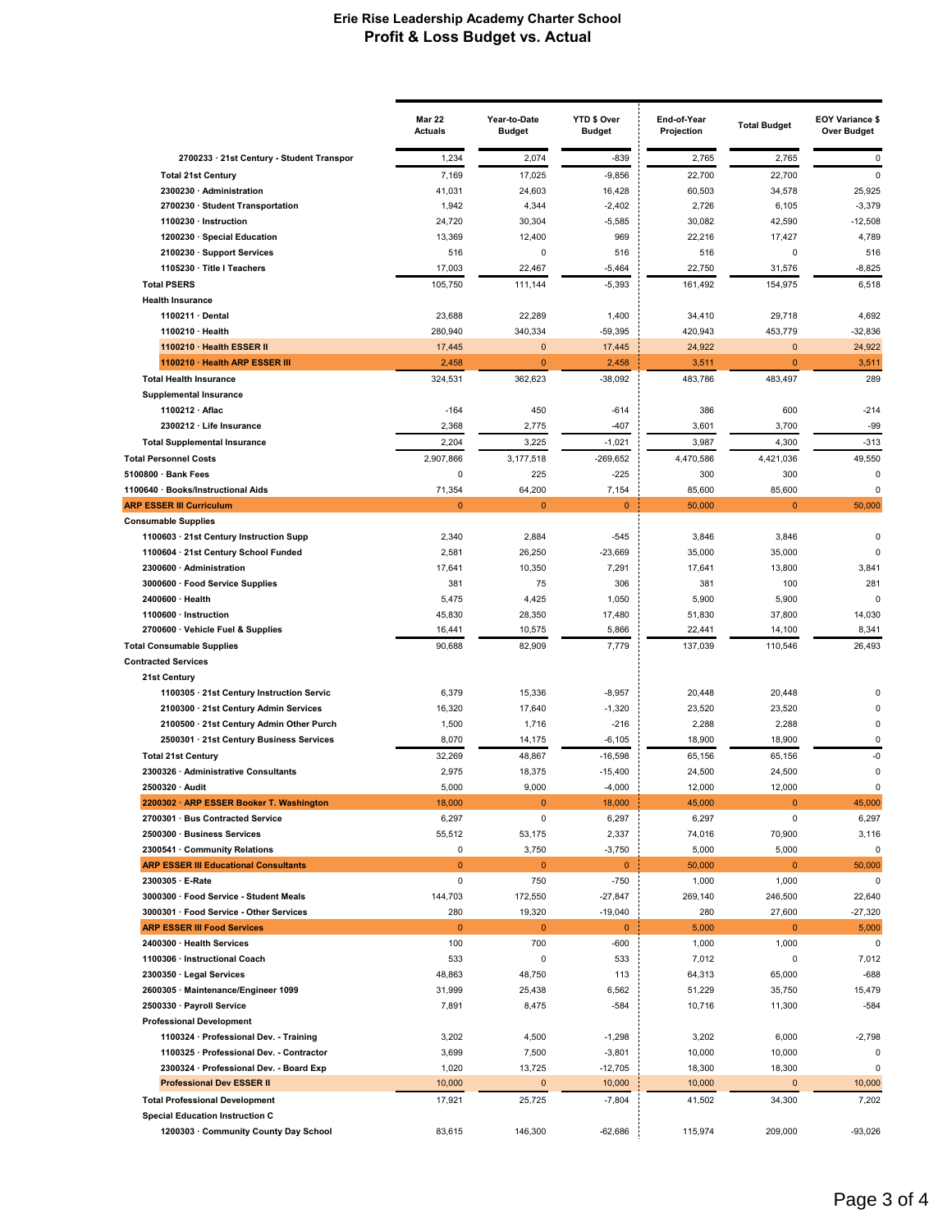|                                                                     | <b>Mar 22</b><br><b>Actuals</b> | Year-to-Date<br><b>Budget</b> | YTD \$ Over<br><b>Budget</b> | End-of-Year<br>Projection | <b>Total Budget</b> | <b>EOY Variance \$</b><br><b>Over Budget</b> |
|---------------------------------------------------------------------|---------------------------------|-------------------------------|------------------------------|---------------------------|---------------------|----------------------------------------------|
| 2700233 · 21st Century - Student Transpor                           | 1,234                           | 2,074                         | $-839$                       | 2,765                     | 2,765               | 0                                            |
| <b>Total 21st Century</b>                                           | 7,169                           | 17,025                        | $-9,856$                     | 22,700                    | 22,700              | $\mathbf 0$                                  |
| 2300230 · Administration                                            | 41,031                          | 24,603                        | 16,428                       | 60,503                    | 34,578              | 25,925                                       |
| 2700230 · Student Transportation                                    | 1,942                           | 4,344                         | $-2,402$                     | 2,726                     | 6,105               | $-3,379$                                     |
| 1100230 · Instruction                                               | 24,720                          | 30,304                        | $-5,585$                     | 30,082                    | 42,590              | $-12,508$                                    |
| 1200230 · Special Education                                         | 13,369                          | 12,400                        | 969                          | 22,216                    | 17,427              | 4,789                                        |
| 2100230 · Support Services                                          | 516                             | 0                             | 516                          | 516                       | 0                   | 516                                          |
| 1105230 · Title I Teachers                                          | 17,003                          | 22,467                        | $-5,464$                     | 22,750                    | 31,576              | $-8,825$                                     |
| <b>Total PSERS</b>                                                  | 105,750                         | 111,144                       | $-5,393$                     | 161,492                   | 154,975             | 6,518                                        |
| <b>Health Insurance</b>                                             |                                 |                               |                              |                           |                     |                                              |
| 1100211 · Dental                                                    | 23,688                          | 22,289                        | 1,400                        | 34,410                    | 29,718              | 4,692                                        |
| 1100210 · Health                                                    | 280,940                         | 340,334                       | $-59,395$                    | 420,943                   | 453,779             | $-32,836$                                    |
| 1100210 · Health ESSER II                                           | 17,445                          | $\mathbf{0}$                  | 17,445                       | 24,922                    | $\mathbf{0}$        | 24,922                                       |
| 1100210 · Health ARP ESSER III                                      | 2,458                           | $\bf{0}$                      | 2,458                        | 3,511                     | $\pmb{0}$           | 3,511                                        |
| <b>Total Health Insurance</b>                                       | 324,531                         | 362,623                       | $-38,092$                    | 483,786                   | 483,497             | 289                                          |
| <b>Supplemental Insurance</b>                                       |                                 |                               |                              |                           |                     |                                              |
| 1100212 · Aflac<br>2300212 · Life Insurance                         | $-164$<br>2,368                 | 450<br>2,775                  | $-614$<br>$-407$             | 386<br>3,601              | 600<br>3,700        | $-214$<br>$-99$                              |
|                                                                     | 2,204                           | 3,225                         | $-1,021$                     | 3,987                     | 4,300               | $-313$                                       |
| <b>Total Supplemental Insurance</b><br><b>Total Personnel Costs</b> |                                 |                               |                              |                           |                     |                                              |
| 5100800 · Bank Fees                                                 | 2,907,866<br>0                  | 3,177,518<br>225              | $-269,652$<br>$-225$         | 4,470,586<br>300          | 4,421,036<br>300    | 49,550<br>0                                  |
| 1100640 · Books/Instructional Aids                                  | 71,354                          | 64,200                        | 7,154                        | 85,600                    | 85,600              | 0                                            |
| <b>ARP ESSER III Curriculum</b>                                     | $\overline{0}$                  | $\overline{0}$                | $\mathbf{0}$                 | 50,000                    | $\overline{0}$      | 50,000                                       |
| <b>Consumable Supplies</b>                                          |                                 |                               |                              |                           |                     |                                              |
| 1100603 · 21st Century Instruction Supp                             | 2,340                           | 2,884                         | $-545$                       | 3,846                     | 3,846               | $\Omega$                                     |
| 1100604 · 21st Century School Funded                                | 2,581                           | 26,250                        | $-23,669$                    | 35,000                    | 35,000              | $\Omega$                                     |
| 2300600 · Administration                                            | 17,641                          | 10,350                        | 7,291                        | 17,641                    | 13,800              | 3,841                                        |
| 3000600 · Food Service Supplies                                     | 381                             | 75                            | 306                          | 381                       | 100                 | 281                                          |
| 2400600 · Health                                                    | 5,475                           | 4,425                         | 1,050                        | 5,900                     | 5,900               | 0                                            |
| 1100600 · Instruction                                               | 45,830                          | 28,350                        | 17,480                       | 51,830                    | 37,800              | 14,030                                       |
| 2700600 · Vehicle Fuel & Supplies                                   | 16,441                          | 10,575                        | 5,866                        | 22,441                    | 14,100              | 8,341                                        |
| <b>Total Consumable Supplies</b>                                    | 90,688                          | 82,909                        | 7,779                        | 137,039                   | 110,546             | 26,493                                       |
| <b>Contracted Services</b>                                          |                                 |                               |                              |                           |                     |                                              |
| 21st Century                                                        |                                 |                               |                              |                           |                     |                                              |
| 1100305 · 21st Century Instruction Servic                           | 6,379                           | 15,336                        | $-8,957$                     | 20,448                    | 20,448              | 0                                            |
| 2100300 · 21st Century Admin Services                               | 16,320                          | 17,640                        | $-1,320$                     | 23,520                    | 23,520              | 0                                            |
| 2100500 · 21st Century Admin Other Purch                            | 1,500                           | 1,716                         | $-216$                       | 2,288                     | 2,288               | 0                                            |
| 2500301 · 21st Century Business Services                            | 8,070                           | 14,175                        | $-6,105$                     | 18,900                    | 18,900              | $\Omega$                                     |
| <b>Total 21st Century</b>                                           | 32,269                          | 48,867                        | $-16,598$                    | 65,156                    | 65,156              | -0                                           |
| 2300326 · Administrative Consultants                                | 2,975                           | 18,375                        | $-15,400$                    | 24,500                    | 24,500              | 0                                            |
| 2500320 · Audit                                                     | 5,000                           | 9,000                         | $-4,000$                     | 12,000                    | 12,000              | $\mathbf 0$                                  |
| 2200302 · ARP ESSER Booker T. Washington                            | 18,000                          | $\bf{0}$                      | 18,000                       | 45,000                    | U                   | 45,000                                       |
| 2700301 · Bus Contracted Service                                    | 6,297                           | 0                             | 6,297                        | 6,297                     | 0                   | 6,297                                        |
| 2500300 · Business Services<br>2300541 · Community Relations        | 55,512<br>0                     | 53,175<br>3,750               | 2,337<br>$-3,750$            | 74,016<br>5,000           | 70,900<br>5,000     | 3,116<br>$\pmb{0}$                           |
| <b>ARP ESSER III Educational Consultants</b>                        | $\mathbf 0$                     | $\bf{0}$                      | $\mathbf{0}$                 | 50,000                    | $\mathbf{0}$        | 50,000                                       |
| 2300305 · E-Rate                                                    | 0                               | 750                           | $-750$                       | 1,000                     | 1,000               | 0                                            |
| 3000300 · Food Service - Student Meals                              | 144,703                         | 172,550                       | $-27,847$                    | 269,140                   | 246,500             | 22,640                                       |
| 3000301 · Food Service - Other Services                             | 280                             | 19,320                        | $-19,040$                    | 280                       | 27,600              | $-27,320$                                    |
| <b>ARP ESSER III Food Services</b>                                  | $\mathbf 0$                     | $\mathbf{0}$                  | $\mathbf{0}$                 | 5,000                     | $\mathbf{0}$        | 5,000                                        |
| 2400300 · Health Services                                           | 100                             | 700                           | -600                         | 1,000                     | 1,000               | $\pmb{0}$                                    |
| 1100306 · Instructional Coach                                       | 533                             | 0                             | 533                          | 7,012                     | 0                   | 7,012                                        |
| 2300350 · Legal Services                                            | 48,863                          | 48,750                        | 113                          | 64,313                    | 65,000              | $-688$                                       |
| 2600305 · Maintenance/Engineer 1099                                 | 31,999                          | 25,438                        | 6,562                        | 51,229                    | 35,750              | 15,479                                       |
| 2500330 · Payroll Service                                           | 7,891                           | 8,475                         | $-584$                       | 10,716                    | 11,300              | $-584$                                       |
| <b>Professional Development</b>                                     |                                 |                               |                              |                           |                     |                                              |
| 1100324 · Professional Dev. - Training                              | 3,202                           | 4,500                         | $-1,298$                     | 3,202                     | 6,000               | $-2,798$                                     |
| 1100325 · Professional Dev. - Contractor                            | 3,699                           | 7,500                         | $-3,801$                     | 10,000                    | 10,000              | 0                                            |
| 2300324 · Professional Dev. - Board Exp                             | 1,020                           | 13,725                        | $-12,705$                    | 18,300                    | 18,300              | 0                                            |
| <b>Professional Dev ESSER II</b>                                    | 10,000                          | $\mathbf{0}$                  | 10,000                       | 10,000                    | $\mathbf 0$         | 10,000                                       |
| <b>Total Professional Development</b>                               | 17,921                          | 25,725                        | $-7,804$                     | 41,502                    | 34,300              | 7,202                                        |
| <b>Special Education Instruction C</b>                              |                                 |                               |                              |                           |                     |                                              |
| 1200303 · Community County Day School                               | 83,615                          | 146,300                       | $-62,686$                    | 115,974                   | 209,000             | $-93,026$                                    |